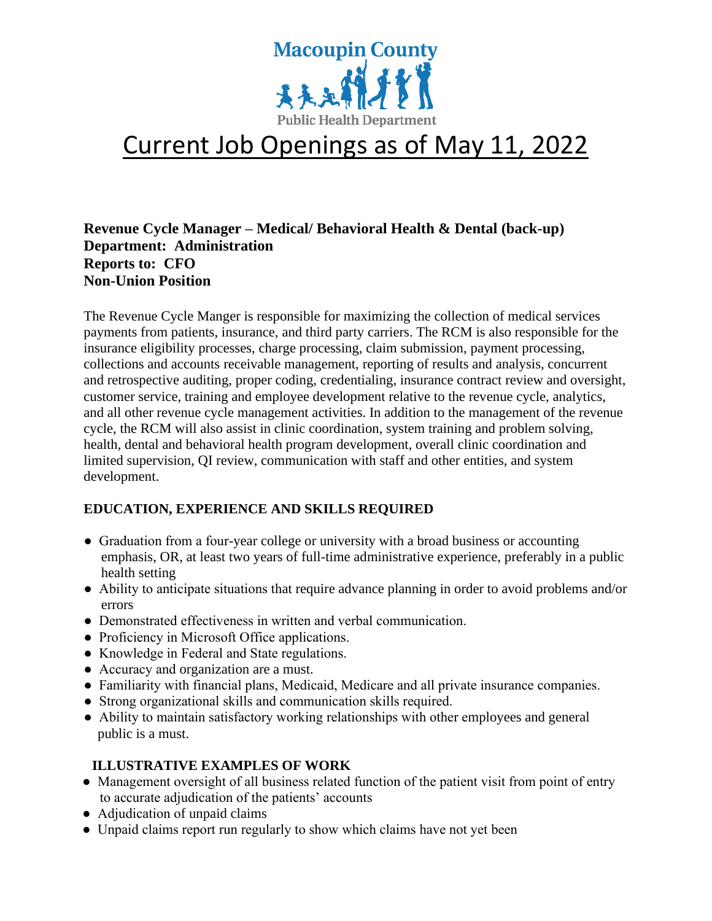

# Current Job Openings as of May 11, 2022

## **Revenue Cycle Manager – Medical/ Behavioral Health & Dental (back-up) Department: Administration Reports to: CFO Non-Union Position**

The Revenue Cycle Manger is responsible for maximizing the collection of medical services payments from patients, insurance, and third party carriers. The RCM is also responsible for the insurance eligibility processes, charge processing, claim submission, payment processing, collections and accounts receivable management, reporting of results and analysis, concurrent and retrospective auditing, proper coding, credentialing, insurance contract review and oversight, customer service, training and employee development relative to the revenue cycle, analytics, and all other revenue cycle management activities. In addition to the management of the revenue cycle, the RCM will also assist in clinic coordination, system training and problem solving, health, dental and behavioral health program development, overall clinic coordination and limited supervision, QI review, communication with staff and other entities, and system development.

#### **EDUCATION, EXPERIENCE AND SKILLS REQUIRED**

- Graduation from a four-year college or university with a broad business or accounting emphasis, OR, at least two years of full-time administrative experience, preferably in a public health setting
- Ability to anticipate situations that require advance planning in order to avoid problems and/or errors
- Demonstrated effectiveness in written and verbal communication.
- Proficiency in Microsoft Office applications.
- Knowledge in Federal and State regulations.
- Accuracy and organization are a must.
- Familiarity with financial plans, Medicaid, Medicare and all private insurance companies.
- Strong organizational skills and communication skills required.
- Ability to maintain satisfactory working relationships with other employees and general public is a must.

#### **ILLUSTRATIVE EXAMPLES OF WORK**

- Management oversight of all business related function of the patient visit from point of entry to accurate adjudication of the patients' accounts
- Adjudication of unpaid claims
- Unpaid claims report run regularly to show which claims have not yet been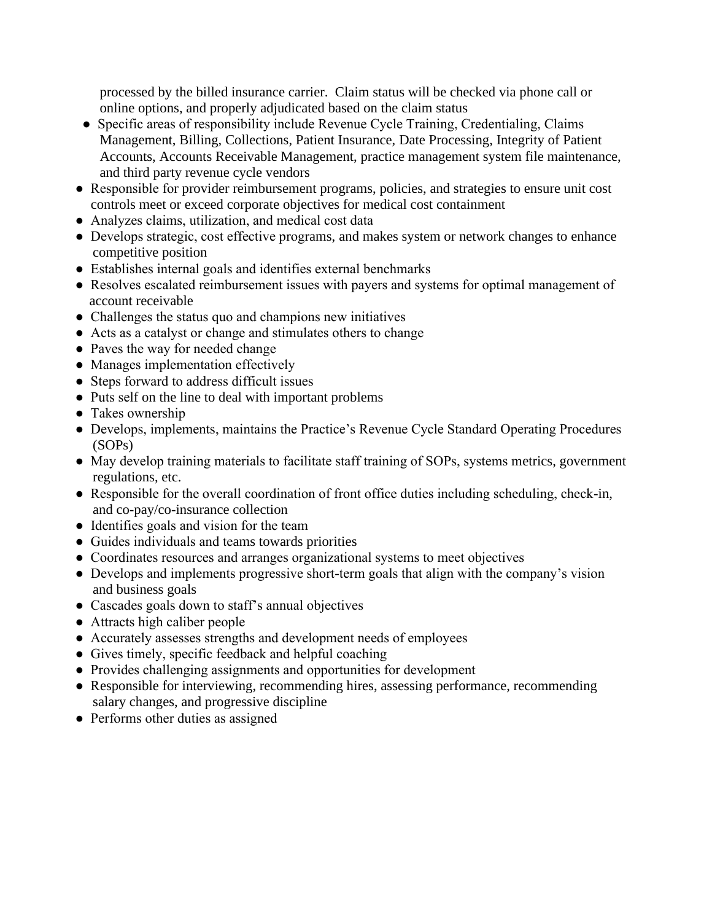processed by the billed insurance carrier. Claim status will be checked via phone call or online options, and properly adjudicated based on the claim status

- Specific areas of responsibility include Revenue Cycle Training, Credentialing, Claims Management, Billing, Collections, Patient Insurance, Date Processing, Integrity of Patient Accounts, Accounts Receivable Management, practice management system file maintenance, and third party revenue cycle vendors
- Responsible for provider reimbursement programs, policies, and strategies to ensure unit cost controls meet or exceed corporate objectives for medical cost containment
- Analyzes claims, utilization, and medical cost data
- Develops strategic, cost effective programs, and makes system or network changes to enhance competitive position
- Establishes internal goals and identifies external benchmarks
- Resolves escalated reimbursement issues with payers and systems for optimal management of account receivable
- Challenges the status quo and champions new initiatives
- Acts as a catalyst or change and stimulates others to change
- Paves the way for needed change
- Manages implementation effectively
- Steps forward to address difficult issues
- Puts self on the line to deal with important problems
- Takes ownership
- Develops, implements, maintains the Practice's Revenue Cycle Standard Operating Procedures (SOPs)
- May develop training materials to facilitate staff training of SOPs, systems metrics, government regulations, etc.
- Responsible for the overall coordination of front office duties including scheduling, check-in, and co-pay/co-insurance collection
- Identifies goals and vision for the team
- Guides individuals and teams towards priorities
- Coordinates resources and arranges organizational systems to meet objectives
- Develops and implements progressive short-term goals that align with the company's vision and business goals
- Cascades goals down to staff's annual objectives
- Attracts high caliber people
- Accurately assesses strengths and development needs of employees
- Gives timely, specific feedback and helpful coaching
- Provides challenging assignments and opportunities for development
- Responsible for interviewing, recommending hires, assessing performance, recommending salary changes, and progressive discipline
- Performs other duties as assigned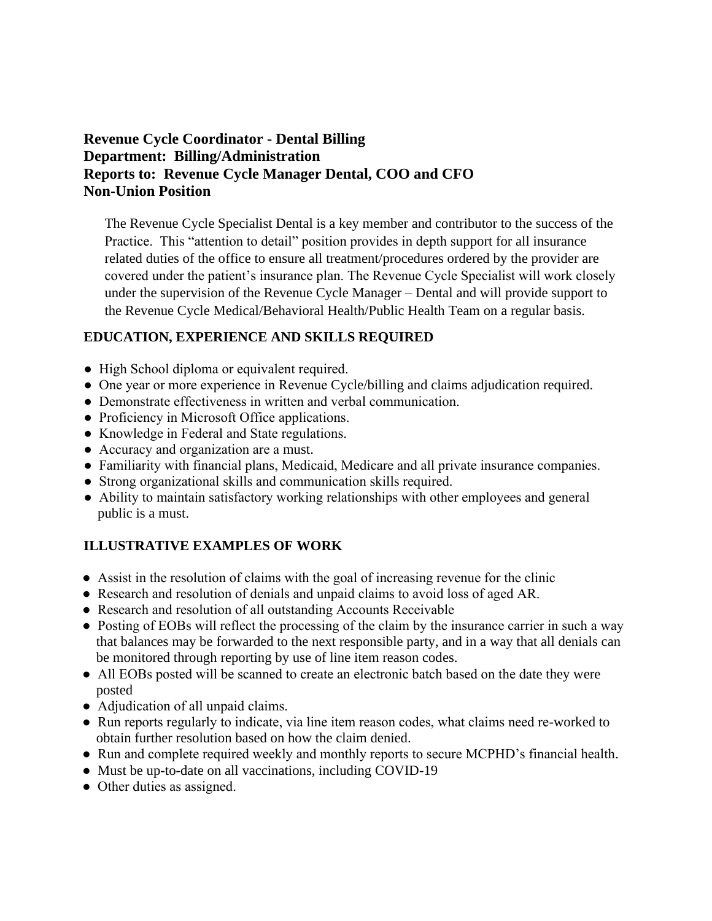## **Revenue Cycle Coordinator - Dental Billing Department: Billing/Administration Reports to: Revenue Cycle Manager Dental, COO and CFO Non-Union Position**

The Revenue Cycle Specialist Dental is a key member and contributor to the success of the Practice. This "attention to detail" position provides in depth support for all insurance related duties of the office to ensure all treatment/procedures ordered by the provider are covered under the patient's insurance plan. The Revenue Cycle Specialist will work closely under the supervision of the Revenue Cycle Manager – Dental and will provide support to the Revenue Cycle Medical/Behavioral Health/Public Health Team on a regular basis.

#### **EDUCATION, EXPERIENCE AND SKILLS REQUIRED**

- High School diploma or equivalent required.
- One year or more experience in Revenue Cycle/billing and claims adjudication required.
- Demonstrate effectiveness in written and verbal communication.
- Proficiency in Microsoft Office applications.
- Knowledge in Federal and State regulations.
- Accuracy and organization are a must.
- Familiarity with financial plans, Medicaid, Medicare and all private insurance companies.
- Strong organizational skills and communication skills required.
- Ability to maintain satisfactory working relationships with other employees and general public is a must.

#### **ILLUSTRATIVE EXAMPLES OF WORK**

- Assist in the resolution of claims with the goal of increasing revenue for the clinic
- Research and resolution of denials and unpaid claims to avoid loss of aged AR.
- Research and resolution of all outstanding Accounts Receivable
- Posting of EOBs will reflect the processing of the claim by the insurance carrier in such a way that balances may be forwarded to the next responsible party, and in a way that all denials can be monitored through reporting by use of line item reason codes.
- All EOBs posted will be scanned to create an electronic batch based on the date they were posted
- Adjudication of all unpaid claims.
- Run reports regularly to indicate, via line item reason codes, what claims need re-worked to obtain further resolution based on how the claim denied.
- Run and complete required weekly and monthly reports to secure MCPHD's financial health.
- Must be up-to-date on all vaccinations, including COVID-19
- Other duties as assigned.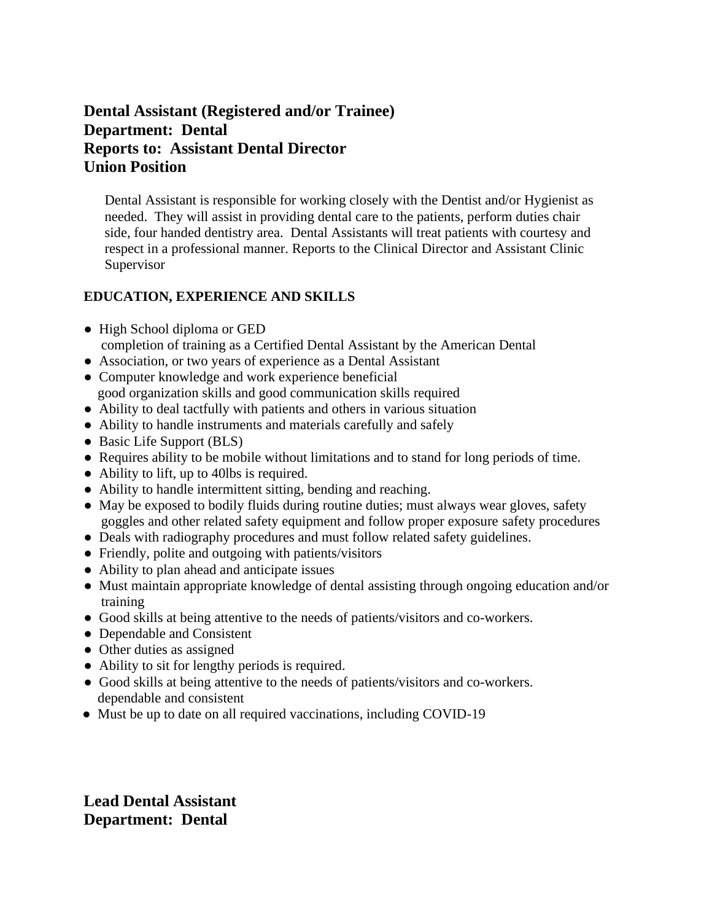# **Dental Assistant (Registered and/or Trainee) Department: Dental Reports to: Assistant Dental Director Union Position**

 Dental Assistant is responsible for working closely with the Dentist and/or Hygienist as needed. They will assist in providing dental care to the patients, perform duties chair side, four handed dentistry area. Dental Assistants will treat patients with courtesy and respect in a professional manner. Reports to the Clinical Director and Assistant Clinic Supervisor

#### **EDUCATION, EXPERIENCE AND SKILLS**

- High School diploma or GED
- completion of training as a Certified Dental Assistant by the American Dental
- Association, or two years of experience as a Dental Assistant
- Computer knowledge and work experience beneficial good organization skills and good communication skills required
- Ability to deal tactfully with patients and others in various situation
- Ability to handle instruments and materials carefully and safely
- Basic Life Support (BLS)
- Requires ability to be mobile without limitations and to stand for long periods of time.
- Ability to lift, up to 40lbs is required.
- Ability to handle intermittent sitting, bending and reaching.
- May be exposed to bodily fluids during routine duties; must always wear gloves, safety goggles and other related safety equipment and follow proper exposure safety procedures
- Deals with radiography procedures and must follow related safety guidelines.
- Friendly, polite and outgoing with patients/visitors
- Ability to plan ahead and anticipate issues
- Must maintain appropriate knowledge of dental assisting through ongoing education and/or training
- Good skills at being attentive to the needs of patients/visitors and co-workers.
- Dependable and Consistent
- Other duties as assigned
- Ability to sit for lengthy periods is required.
- Good skills at being attentive to the needs of patients/visitors and co-workers. dependable and consistent
- Must be up to date on all required vaccinations, including COVID-19

**Lead Dental Assistant Department: Dental**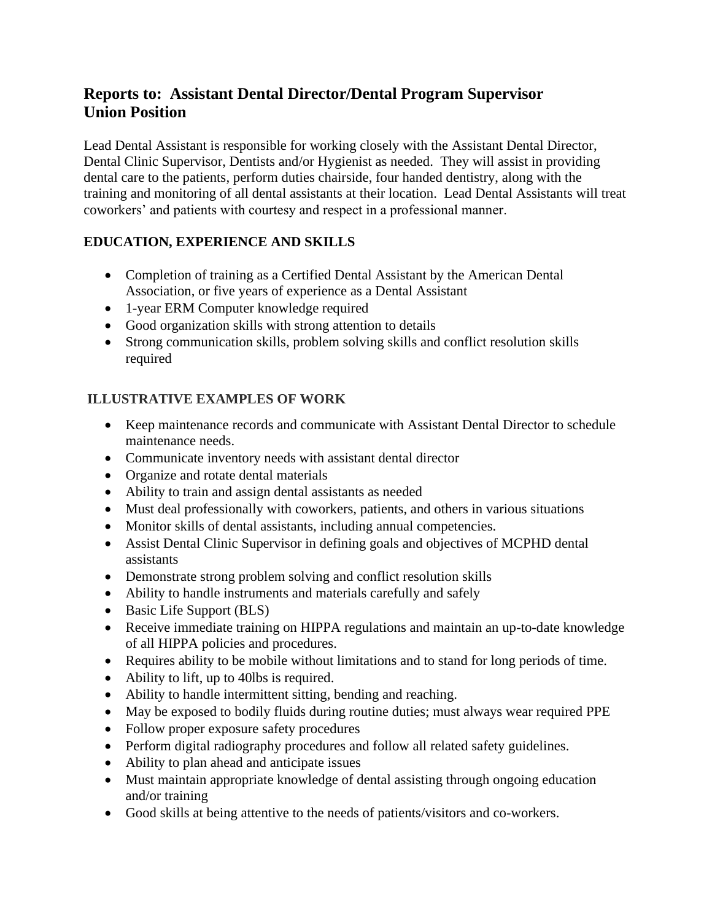# **Reports to: Assistant Dental Director/Dental Program Supervisor Union Position**

Lead Dental Assistant is responsible for working closely with the Assistant Dental Director, Dental Clinic Supervisor, Dentists and/or Hygienist as needed. They will assist in providing dental care to the patients, perform duties chairside, four handed dentistry, along with the training and monitoring of all dental assistants at their location. Lead Dental Assistants will treat coworkers' and patients with courtesy and respect in a professional manner.

# **EDUCATION, EXPERIENCE AND SKILLS**

- Completion of training as a Certified Dental Assistant by the American Dental Association, or five years of experience as a Dental Assistant
- 1-year ERM Computer knowledge required
- Good organization skills with strong attention to details
- Strong communication skills, problem solving skills and conflict resolution skills required

# **ILLUSTRATIVE EXAMPLES OF WORK**

- Keep maintenance records and communicate with Assistant Dental Director to schedule maintenance needs.
- Communicate inventory needs with assistant dental director
- Organize and rotate dental materials
- Ability to train and assign dental assistants as needed
- Must deal professionally with coworkers, patients, and others in various situations
- Monitor skills of dental assistants, including annual competencies.
- Assist Dental Clinic Supervisor in defining goals and objectives of MCPHD dental assistants
- Demonstrate strong problem solving and conflict resolution skills
- Ability to handle instruments and materials carefully and safely
- Basic Life Support (BLS)
- Receive immediate training on HIPPA regulations and maintain an up-to-date knowledge of all HIPPA policies and procedures.
- Requires ability to be mobile without limitations and to stand for long periods of time.
- Ability to lift, up to 40lbs is required.
- Ability to handle intermittent sitting, bending and reaching.
- May be exposed to bodily fluids during routine duties; must always wear required PPE
- Follow proper exposure safety procedures
- Perform digital radiography procedures and follow all related safety guidelines.
- Ability to plan ahead and anticipate issues
- Must maintain appropriate knowledge of dental assisting through ongoing education and/or training
- Good skills at being attentive to the needs of patients/visitors and co-workers.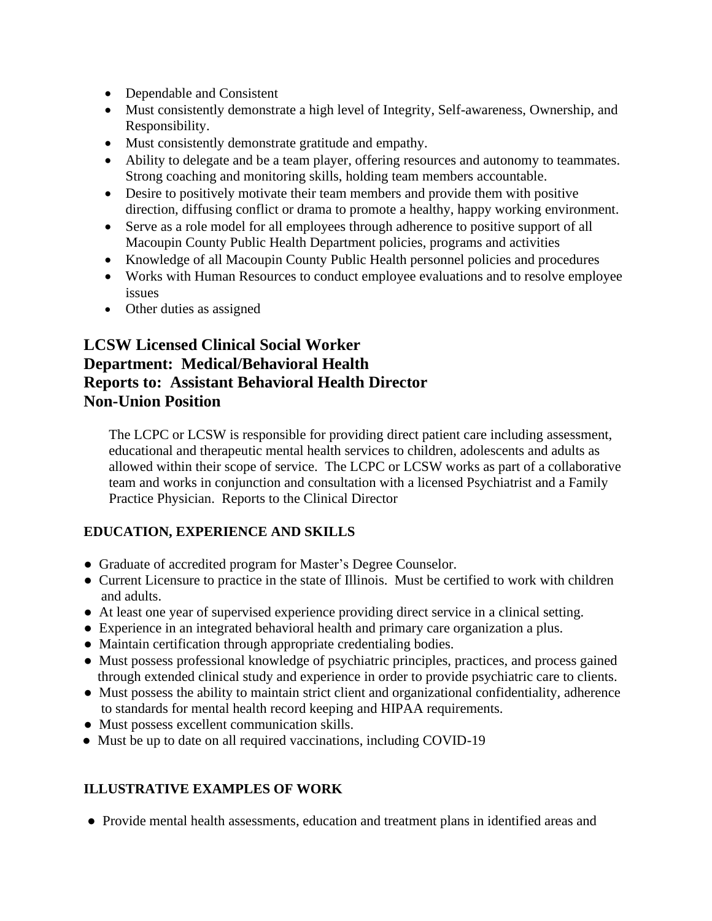- Dependable and Consistent
- Must consistently demonstrate a high level of Integrity, Self-awareness, Ownership, and Responsibility.
- Must consistently demonstrate gratitude and empathy.
- Ability to delegate and be a team player, offering resources and autonomy to teammates. Strong coaching and monitoring skills, holding team members accountable.
- Desire to positively motivate their team members and provide them with positive direction, diffusing conflict or drama to promote a healthy, happy working environment.
- Serve as a role model for all employees through adherence to positive support of all Macoupin County Public Health Department policies, programs and activities
- Knowledge of all Macoupin County Public Health personnel policies and procedures
- Works with Human Resources to conduct employee evaluations and to resolve employee issues
- Other duties as assigned

# **LCSW Licensed Clinical Social Worker Department: Medical/Behavioral Health Reports to: Assistant Behavioral Health Director Non-Union Position**

The LCPC or LCSW is responsible for providing direct patient care including assessment, educational and therapeutic mental health services to children, adolescents and adults as allowed within their scope of service. The LCPC or LCSW works as part of a collaborative team and works in conjunction and consultation with a licensed Psychiatrist and a Family Practice Physician. Reports to the Clinical Director

# **EDUCATION, EXPERIENCE AND SKILLS**

- Graduate of accredited program for Master's Degree Counselor.
- Current Licensure to practice in the state of Illinois. Must be certified to work with children and adults.
- At least one year of supervised experience providing direct service in a clinical setting.
- Experience in an integrated behavioral health and primary care organization a plus.
- Maintain certification through appropriate credentialing bodies.
- Must possess professional knowledge of psychiatric principles, practices, and process gained through extended clinical study and experience in order to provide psychiatric care to clients.
- Must possess the ability to maintain strict client and organizational confidentiality, adherence to standards for mental health record keeping and HIPAA requirements.
- Must possess excellent communication skills.
- Must be up to date on all required vaccinations, including COVID-19

# **ILLUSTRATIVE EXAMPLES OF WORK**

● Provide mental health assessments, education and treatment plans in identified areas and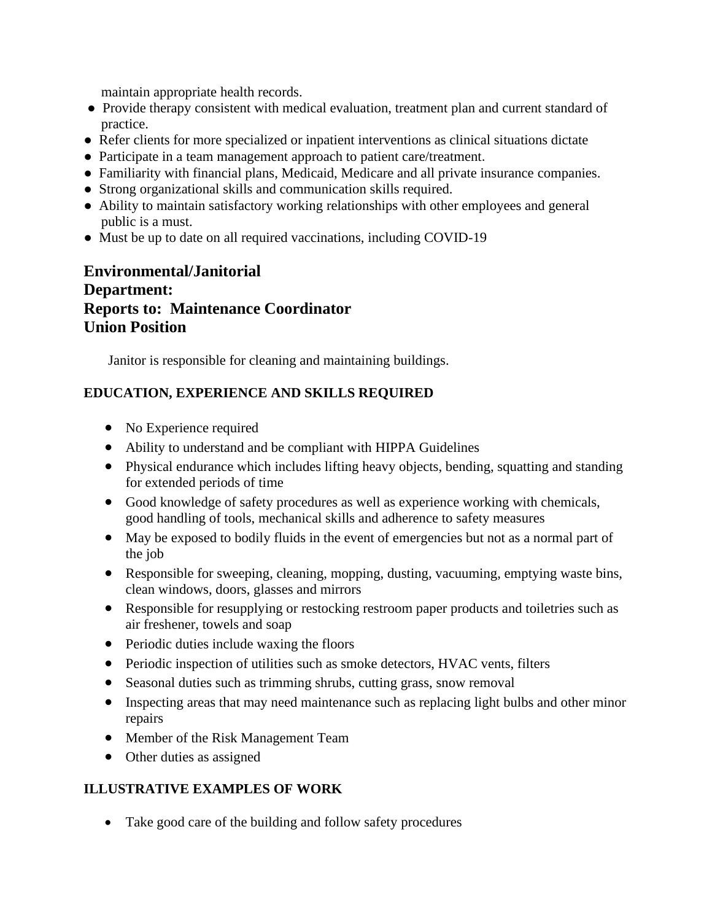maintain appropriate health records.

- Provide therapy consistent with medical evaluation, treatment plan and current standard of practice.
- Refer clients for more specialized or inpatient interventions as clinical situations dictate
- Participate in a team management approach to patient care/treatment.
- Familiarity with financial plans, Medicaid, Medicare and all private insurance companies.
- Strong organizational skills and communication skills required.
- Ability to maintain satisfactory working relationships with other employees and general public is a must.
- Must be up to date on all required vaccinations, including COVID-19

# **Environmental/Janitorial Department: Reports to: Maintenance Coordinator Union Position**

Janitor is responsible for cleaning and maintaining buildings.

## **EDUCATION, EXPERIENCE AND SKILLS REQUIRED**

- No Experience required
- Ability to understand and be compliant with HIPPA Guidelines
- Physical endurance which includes lifting heavy objects, bending, squatting and standing for extended periods of time
- Good knowledge of safety procedures as well as experience working with chemicals, good handling of tools, mechanical skills and adherence to safety measures
- May be exposed to bodily fluids in the event of emergencies but not as a normal part of the job
- Responsible for sweeping, cleaning, mopping, dusting, vacuuming, emptying waste bins, clean windows, doors, glasses and mirrors
- Responsible for resupplying or restocking restroom paper products and toiletries such as air freshener, towels and soap
- Periodic duties include waxing the floors
- Periodic inspection of utilities such as smoke detectors, HVAC vents, filters
- Seasonal duties such as trimming shrubs, cutting grass, snow removal
- Inspecting areas that may need maintenance such as replacing light bulbs and other minor repairs
- Member of the Risk Management Team
- Other duties as assigned

#### **ILLUSTRATIVE EXAMPLES OF WORK**

• Take good care of the building and follow safety procedures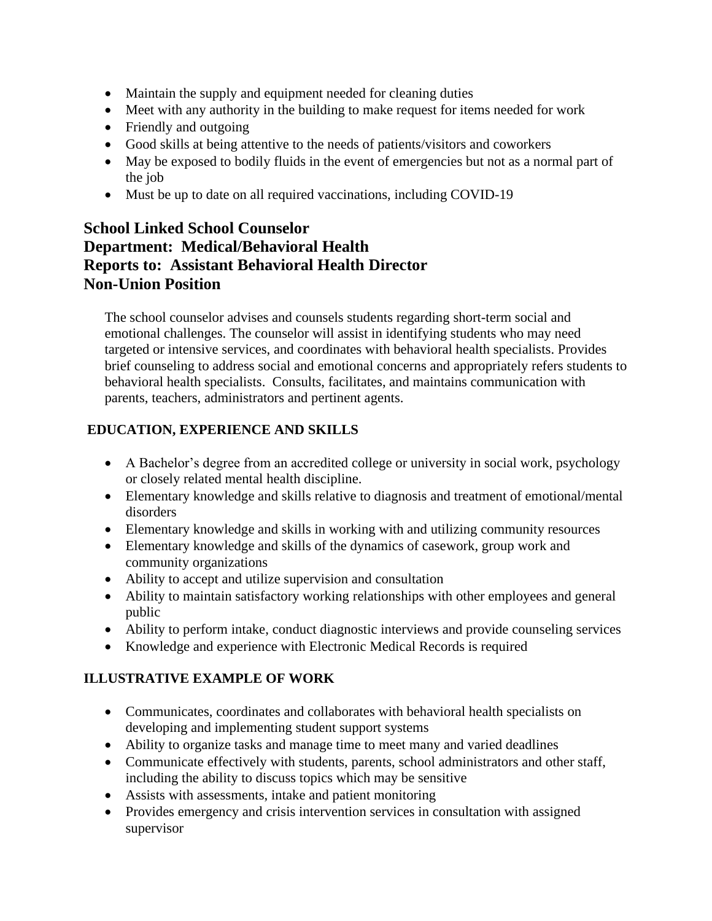- Maintain the supply and equipment needed for cleaning duties
- Meet with any authority in the building to make request for items needed for work
- Friendly and outgoing
- Good skills at being attentive to the needs of patients/visitors and coworkers
- May be exposed to bodily fluids in the event of emergencies but not as a normal part of the job
- Must be up to date on all required vaccinations, including COVID-19

# **School Linked School Counselor Department: Medical/Behavioral Health Reports to: Assistant Behavioral Health Director Non-Union Position**

The school counselor advises and counsels students regarding short-term social and emotional challenges. The counselor will assist in identifying students who may need targeted or intensive services, and coordinates with behavioral health specialists. Provides brief counseling to address social and emotional concerns and appropriately refers students to behavioral health specialists. Consults, facilitates, and maintains communication with parents, teachers, administrators and pertinent agents.

# **EDUCATION, EXPERIENCE AND SKILLS**

- A Bachelor's degree from an accredited college or university in social work, psychology or closely related mental health discipline.
- Elementary knowledge and skills relative to diagnosis and treatment of emotional/mental disorders
- Elementary knowledge and skills in working with and utilizing community resources
- Elementary knowledge and skills of the dynamics of casework, group work and community organizations
- Ability to accept and utilize supervision and consultation
- Ability to maintain satisfactory working relationships with other employees and general public
- Ability to perform intake, conduct diagnostic interviews and provide counseling services
- Knowledge and experience with Electronic Medical Records is required

#### **ILLUSTRATIVE EXAMPLE OF WORK**

- Communicates, coordinates and collaborates with behavioral health specialists on developing and implementing student support systems
- Ability to organize tasks and manage time to meet many and varied deadlines
- Communicate effectively with students, parents, school administrators and other staff, including the ability to discuss topics which may be sensitive
- Assists with assessments, intake and patient monitoring
- Provides emergency and crisis intervention services in consultation with assigned supervisor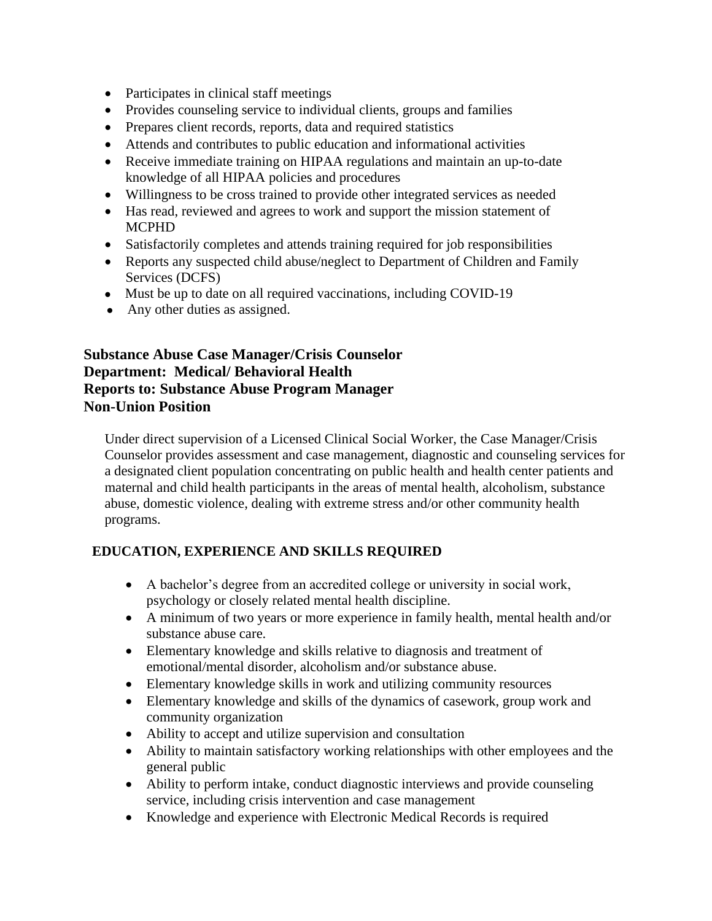- Participates in clinical staff meetings
- Provides counseling service to individual clients, groups and families
- Prepares client records, reports, data and required statistics
- Attends and contributes to public education and informational activities
- Receive immediate training on HIPAA regulations and maintain an up-to-date knowledge of all HIPAA policies and procedures
- Willingness to be cross trained to provide other integrated services as needed
- Has read, reviewed and agrees to work and support the mission statement of MCPHD
- Satisfactorily completes and attends training required for job responsibilities
- Reports any suspected child abuse/neglect to Department of Children and Family Services (DCFS)
- Must be up to date on all required vaccinations, including COVID-19
- Any other duties as assigned.

## **Substance Abuse Case Manager/Crisis Counselor Department: Medical/ Behavioral Health Reports to: Substance Abuse Program Manager Non-Union Position**

Under direct supervision of a Licensed Clinical Social Worker, the Case Manager/Crisis Counselor provides assessment and case management, diagnostic and counseling services for a designated client population concentrating on public health and health center patients and maternal and child health participants in the areas of mental health, alcoholism, substance abuse, domestic violence, dealing with extreme stress and/or other community health programs.

#### **EDUCATION, EXPERIENCE AND SKILLS REQUIRED**

- A bachelor's degree from an accredited college or university in social work, psychology or closely related mental health discipline.
- A minimum of two years or more experience in family health, mental health and/or substance abuse care.
- Elementary knowledge and skills relative to diagnosis and treatment of emotional/mental disorder, alcoholism and/or substance abuse.
- Elementary knowledge skills in work and utilizing community resources
- Elementary knowledge and skills of the dynamics of casework, group work and community organization
- Ability to accept and utilize supervision and consultation
- Ability to maintain satisfactory working relationships with other employees and the general public
- Ability to perform intake, conduct diagnostic interviews and provide counseling service, including crisis intervention and case management
- Knowledge and experience with Electronic Medical Records is required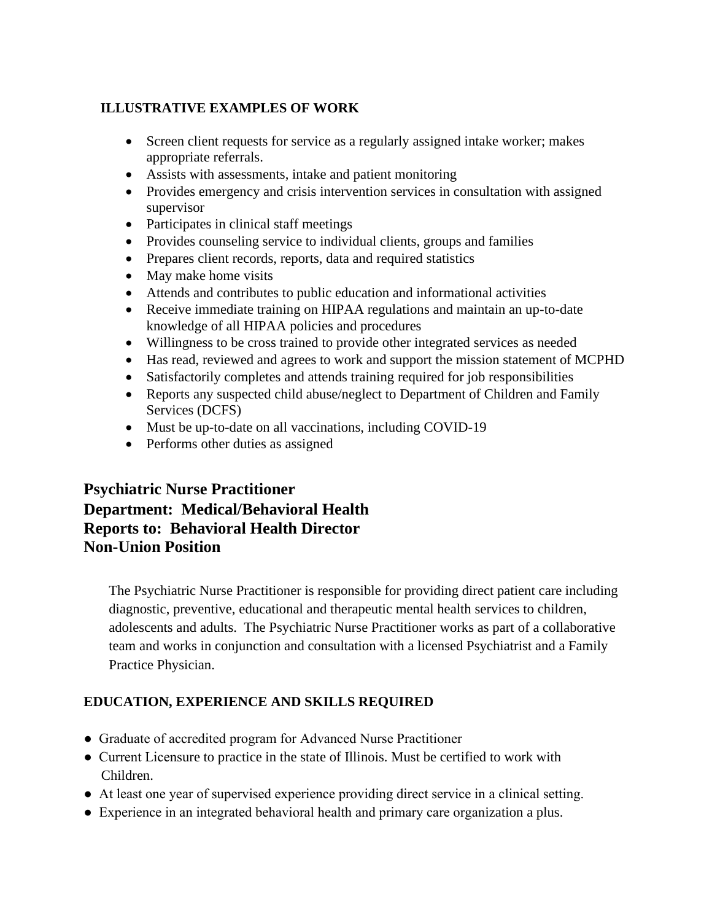#### **ILLUSTRATIVE EXAMPLES OF WORK**

- Screen client requests for service as a regularly assigned intake worker; makes appropriate referrals.
- Assists with assessments, intake and patient monitoring
- Provides emergency and crisis intervention services in consultation with assigned supervisor
- Participates in clinical staff meetings
- Provides counseling service to individual clients, groups and families
- Prepares client records, reports, data and required statistics
- May make home visits
- Attends and contributes to public education and informational activities
- Receive immediate training on HIPAA regulations and maintain an up-to-date knowledge of all HIPAA policies and procedures
- Willingness to be cross trained to provide other integrated services as needed
- Has read, reviewed and agrees to work and support the mission statement of MCPHD
- Satisfactorily completes and attends training required for job responsibilities
- Reports any suspected child abuse/neglect to Department of Children and Family Services (DCFS)
- Must be up-to-date on all vaccinations, including COVID-19
- Performs other duties as assigned

# **Psychiatric Nurse Practitioner Department: Medical/Behavioral Health Reports to: Behavioral Health Director Non-Union Position**

The Psychiatric Nurse Practitioner is responsible for providing direct patient care including diagnostic, preventive, educational and therapeutic mental health services to children, adolescents and adults. The Psychiatric Nurse Practitioner works as part of a collaborative team and works in conjunction and consultation with a licensed Psychiatrist and a Family Practice Physician.

#### **EDUCATION, EXPERIENCE AND SKILLS REQUIRED**

- Graduate of accredited program for Advanced Nurse Practitioner
- Current Licensure to practice in the state of Illinois. Must be certified to work with Children.
- At least one year of supervised experience providing direct service in a clinical setting.
- Experience in an integrated behavioral health and primary care organization a plus.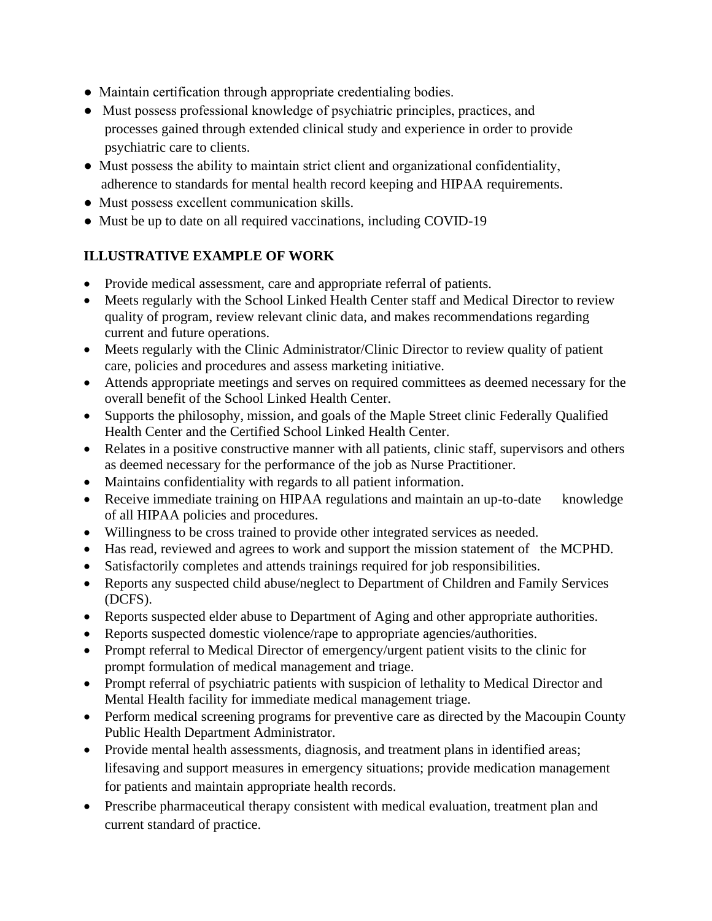- Maintain certification through appropriate credentialing bodies.
- Must possess professional knowledge of psychiatric principles, practices, and processes gained through extended clinical study and experience in order to provide psychiatric care to clients.
- Must possess the ability to maintain strict client and organizational confidentiality, adherence to standards for mental health record keeping and HIPAA requirements.
- Must possess excellent communication skills.
- Must be up to date on all required vaccinations, including COVID-19

## **ILLUSTRATIVE EXAMPLE OF WORK**

- Provide medical assessment, care and appropriate referral of patients.
- Meets regularly with the School Linked Health Center staff and Medical Director to review quality of program, review relevant clinic data, and makes recommendations regarding current and future operations.
- Meets regularly with the Clinic Administrator/Clinic Director to review quality of patient care, policies and procedures and assess marketing initiative.
- Attends appropriate meetings and serves on required committees as deemed necessary for the overall benefit of the School Linked Health Center.
- Supports the philosophy, mission, and goals of the Maple Street clinic Federally Qualified Health Center and the Certified School Linked Health Center.
- Relates in a positive constructive manner with all patients, clinic staff, supervisors and others as deemed necessary for the performance of the job as Nurse Practitioner.
- Maintains confidentiality with regards to all patient information.
- Receive immediate training on HIPAA regulations and maintain an up-to-date knowledge of all HIPAA policies and procedures.
- Willingness to be cross trained to provide other integrated services as needed.
- Has read, reviewed and agrees to work and support the mission statement of the MCPHD.
- Satisfactorily completes and attends trainings required for job responsibilities.
- Reports any suspected child abuse/neglect to Department of Children and Family Services (DCFS).
- Reports suspected elder abuse to Department of Aging and other appropriate authorities.
- Reports suspected domestic violence/rape to appropriate agencies/authorities.
- Prompt referral to Medical Director of emergency/urgent patient visits to the clinic for prompt formulation of medical management and triage.
- Prompt referral of psychiatric patients with suspicion of lethality to Medical Director and Mental Health facility for immediate medical management triage.
- Perform medical screening programs for preventive care as directed by the Macoupin County Public Health Department Administrator.
- Provide mental health assessments, diagnosis, and treatment plans in identified areas; lifesaving and support measures in emergency situations; provide medication management for patients and maintain appropriate health records.
- Prescribe pharmaceutical therapy consistent with medical evaluation, treatment plan and current standard of practice.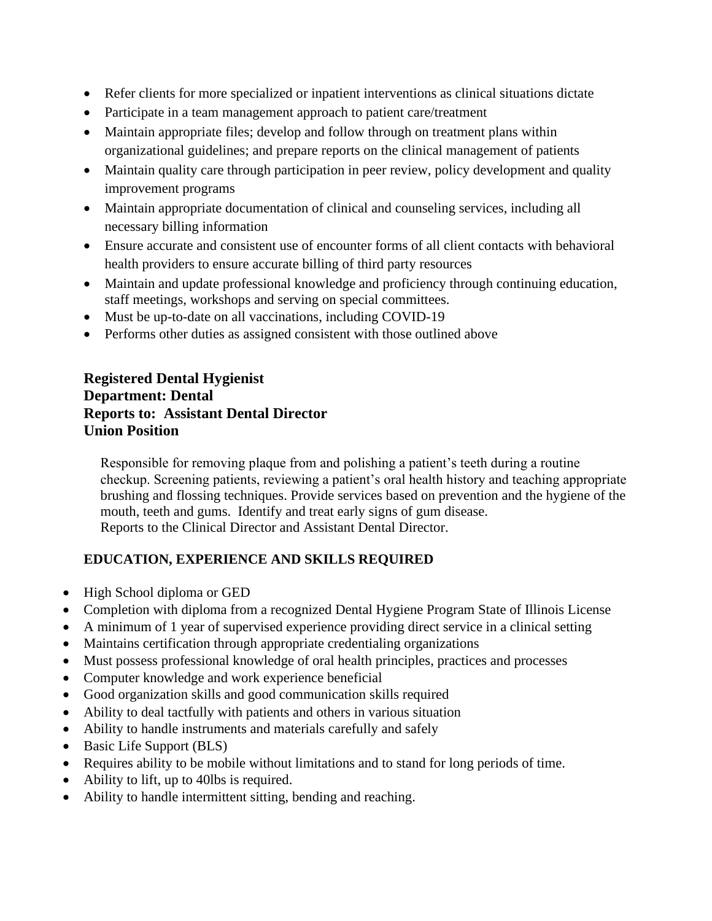- Refer clients for more specialized or inpatient interventions as clinical situations dictate
- Participate in a team management approach to patient care/treatment
- Maintain appropriate files; develop and follow through on treatment plans within organizational guidelines; and prepare reports on the clinical management of patients
- Maintain quality care through participation in peer review, policy development and quality improvement programs
- Maintain appropriate documentation of clinical and counseling services, including all necessary billing information
- Ensure accurate and consistent use of encounter forms of all client contacts with behavioral health providers to ensure accurate billing of third party resources
- Maintain and update professional knowledge and proficiency through continuing education, staff meetings, workshops and serving on special committees.
- Must be up-to-date on all vaccinations, including COVID-19
- Performs other duties as assigned consistent with those outlined above

#### **Registered Dental Hygienist Department: Dental Reports to: Assistant Dental Director Union Position**

Responsible for removing plaque from and polishing a patient's teeth during a routine checkup. Screening patients, reviewing a patient's oral health history and teaching appropriate brushing and flossing techniques. Provide services based on prevention and the hygiene of the mouth, teeth and gums. Identify and treat early signs of gum disease. Reports to the Clinical Director and Assistant Dental Director.

# **EDUCATION, EXPERIENCE AND SKILLS REQUIRED**

- High School diploma or GED
- Completion with diploma from a recognized Dental Hygiene Program State of Illinois License
- A minimum of 1 year of supervised experience providing direct service in a clinical setting
- Maintains certification through appropriate credentialing organizations
- Must possess professional knowledge of oral health principles, practices and processes
- Computer knowledge and work experience beneficial
- Good organization skills and good communication skills required
- Ability to deal tactfully with patients and others in various situation
- Ability to handle instruments and materials carefully and safely
- Basic Life Support (BLS)
- Requires ability to be mobile without limitations and to stand for long periods of time.
- Ability to lift, up to 40lbs is required.
- Ability to handle intermittent sitting, bending and reaching.